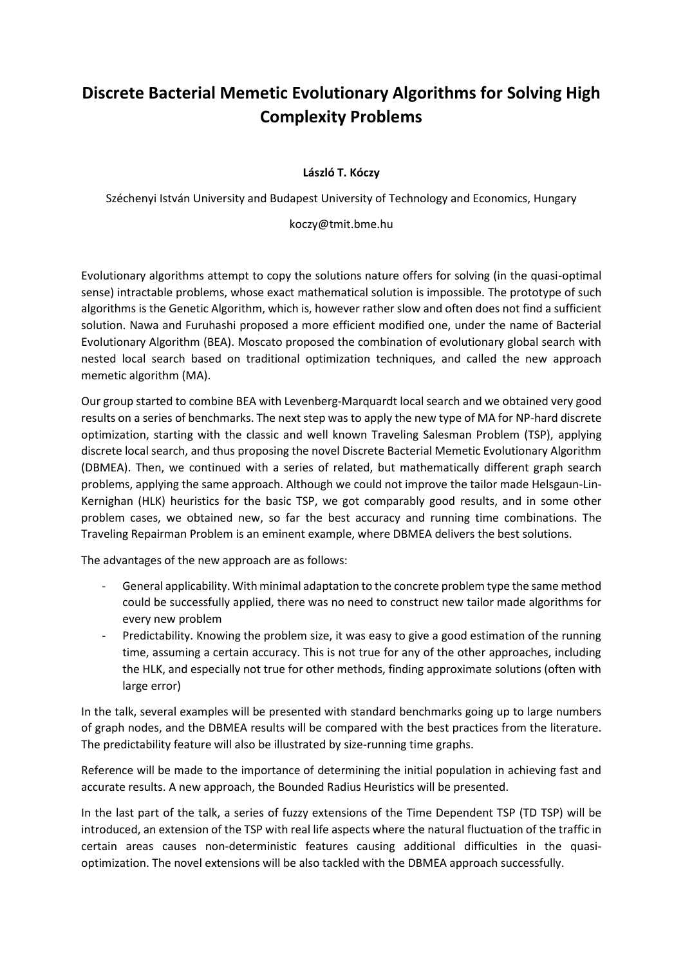## **Discrete Bacterial Memetic Evolutionary Algorithms for Solving High Complexity Problems**

## **László T. Kóczy**

Széchenyi István University and Budapest University of Technology and Economics, Hungary

koczy@tmit.bme.hu

Evolutionary algorithms attempt to copy the solutions nature offers for solving (in the quasi-optimal sense) intractable problems, whose exact mathematical solution is impossible. The prototype of such algorithms is the Genetic Algorithm, which is, however rather slow and often does not find a sufficient solution. Nawa and Furuhashi proposed a more efficient modified one, under the name of Bacterial Evolutionary Algorithm (BEA). Moscato proposed the combination of evolutionary global search with nested local search based on traditional optimization techniques, and called the new approach memetic algorithm (MA).

Our group started to combine BEA with Levenberg-Marquardt local search and we obtained very good results on a series of benchmarks. The next step was to apply the new type of MA for NP-hard discrete optimization, starting with the classic and well known Traveling Salesman Problem (TSP), applying discrete local search, and thus proposing the novel Discrete Bacterial Memetic Evolutionary Algorithm (DBMEA). Then, we continued with a series of related, but mathematically different graph search problems, applying the same approach. Although we could not improve the tailor made Helsgaun-Lin-Kernighan (HLK) heuristics for the basic TSP, we got comparably good results, and in some other problem cases, we obtained new, so far the best accuracy and running time combinations. The Traveling Repairman Problem is an eminent example, where DBMEA delivers the best solutions.

The advantages of the new approach are as follows:

- General applicability. With minimal adaptation to the concrete problem type the same method could be successfully applied, there was no need to construct new tailor made algorithms for every new problem
- Predictability. Knowing the problem size, it was easy to give a good estimation of the running time, assuming a certain accuracy. This is not true for any of the other approaches, including the HLK, and especially not true for other methods, finding approximate solutions (often with large error)

In the talk, several examples will be presented with standard benchmarks going up to large numbers of graph nodes, and the DBMEA results will be compared with the best practices from the literature. The predictability feature will also be illustrated by size-running time graphs.

Reference will be made to the importance of determining the initial population in achieving fast and accurate results. A new approach, the Bounded Radius Heuristics will be presented.

In the last part of the talk, a series of fuzzy extensions of the Time Dependent TSP (TD TSP) will be introduced, an extension of the TSP with real life aspects where the natural fluctuation of the traffic in certain areas causes non-deterministic features causing additional difficulties in the quasioptimization. The novel extensions will be also tackled with the DBMEA approach successfully.